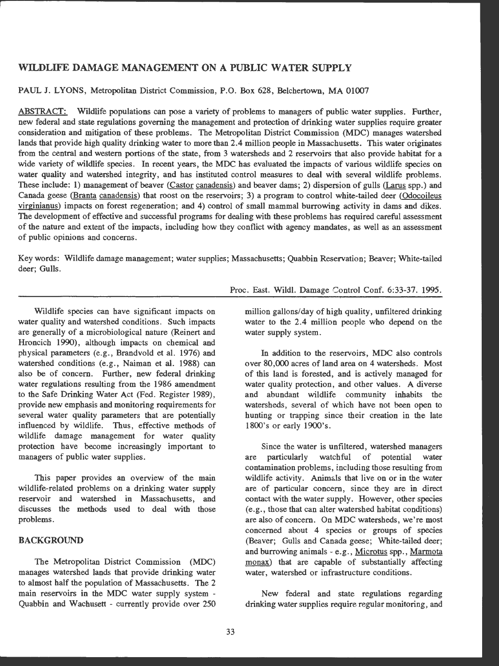# WILDLIFE DAMAGE MANAGEMENT ON A PUBLIC WATER SUPPLY

PAUL J. LYONS, Metropolitan District Commission, P.O . Box 628, Belchertown, MA 01007

ABSTRACT: Wildlife populations can pose a variety of problems to managers of public water supplies. Further, new federal and state regulations governing the management and protection of drinking water supplies require greater consideration and mitigation of these problems. The Metropolitan District Commission (MDC) manages watershed lands that provide high quality drinking water to more than 2.4 million people in Massachusetts. This water originates from the central and western portions of the state, from 3 watersheds and 2 reservoirs that also provide habitat for a wide variety of wildlife species. In recent years, the MDC has evaluated the impacts of various wildlife species on water quality and watershed integrity, and has instituted control measures to deal with several wildlife problems. These include: 1) management of beaver (Castor canadensis) and beaver dams; 2) dispersion of gulls (Larus spp.) and Canada geese (Branta canadensis) that roost on the reservoirs; 3) a program to control white-tailed deer (Odocoileus virginianus) impacts on forest regeneration; and 4) control of small mammal burrowing activity in dams and dikes. The development of effective and successful programs for dealing with these problems has required careful assessment of the nature and extent of the impacts, including how they conflict with agency mandates, as well as an assessment of public opinions and concerns.

Key words: Wildlife damage management; water supplies; Massachusetts; Quabbin Reservation; Beaver; White-tailed deer; Gulls.

Wildlife species can have significant impacts on water quality and watershed conditions. Such impacts are generally of a microbiological nature (Reinert and Hroncich 1990), although impacts on chemical and physical parameters (e.g., Brandvold et al. 1976) and watershed conditions (e.g., Naiman et al. 1988) can also be of concern. Further, new federal drinking water regulations resulting from the 1986 amendment to the Safe Drinking Water Act (Fed. Register 1989), provide new emphasis and monitoring requirements for several water quality parameters that are potentially influenced by wildlife. Thus, effective methods of wildlife damage management for water quality protection have become increasingly important to managers of public water supplies.

This paper provides an overview of the main wildlife-related problems on a drinking water supply reservoir and watershed in Massachusetts, and discusses the methods used to deal with those problems.

# **BACKGROUND**

The Metropolitan District Commission (MDC) manages watershed lands that provide drinking water to almost half the population of Massachusetts. The 2 main reservoirs in the MDC water supply system - Quabbin and Wachusett - currently provide over 250 Proc. East. Wild!. Damage Control Conf. 6:33-37. 1995.

million gallons/day of high quality, unfiltered drinking water to the 2.4 million people who depend on the water supply system.

In addition to the reservoirs, MDC also controls over 80,000 acres of land area on 4 watersheds. Most of this land is forested, and is actively managed for water quality protection, and other values. A diverse and abundant wildlife community inhabits the watersheds, several of which have not been open to hunting or trapping since their creation in the late 1800's or early 1900's.

Since the water is unfiltered, watershed managers are particularly watchful of potential water contamination problems, including those resulting from wildlife activity. Animals that live on or in the water are of particular concern, since they are in direct contact with the water supply. However, other species (e.g., those that can alter watershed habitat conditions) are also of concern. On MDC watersheds, we're most concerned about 4 species or groups of species (Beaver; Gulls and Canada geese; White-tailed deer; and burrowing animals - e.g., Microtus spp., Marmota monax) that are capable of substantially affecting water, watershed or infrastructure conditions.

New federal and state regulations regarding drinking water supplies require regular monitoring, and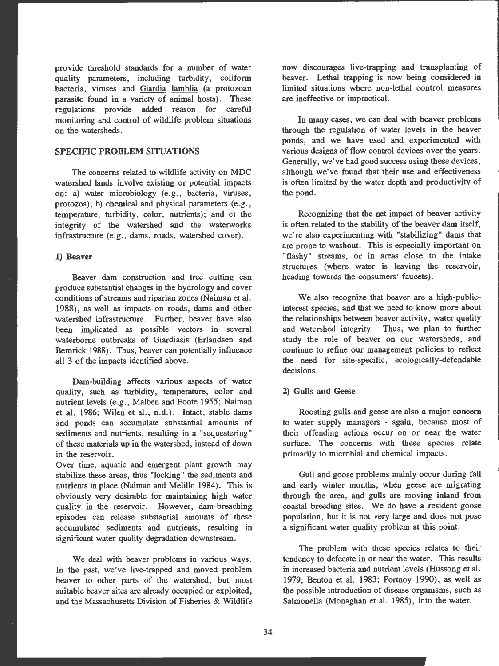provide threshold standards for a number of water quality parameters, including turbidity, coliform bacteria, viruses and Giardia lamblia (a protozoan parasite found in a variety of animal hosts). These regulations provide added reason for careful monitoring and control of wildlife problem situations on the watersheds.

# **SPECIFIC PROBLEM SITUATIONS**

The concerns related to wildlife activity on MDC watershed lands involve existing or potential impacts on: a) water microbiology (e.g., bacteria, viruses, protozoa); b) chemical and physical parameters (e.g., temperature, turbidity, color, nutrients); and c) the integrity of the watershed and the waterworks infrastructure (e.g., dams, roads, watershed cover) .

#### **1) Beaver**

Beaver dam construction and tree cutting can produce substantial changes in the hydrology and cover conditions of streams and riparian zones (Naiman et al. 1988), as well as impacts on roads, dams and other watershed infrastructure. Further, beaver have also been implicated as possible vectors in several waterborne outbreaks of Giardiasis (Erlandsen and Bemrick 1988). Thus, beaver can potentially influence all 3 of the impacts identified above.

Dam-building affects various aspects of water quality, such as turbidity, temperature, color and nutrient levels (e.g., Malben and Foote 1955; Naiman et al. 1986; Wilen et al., n.d.). Intact, stable dams and ponds can accumulate substantial amounts of sediments and nutrients, resulting in a "sequestering" of these materials up in the watershed, instead of down in the reservoir.

Over time, aquatic and emergent plant growth may stabilize these areas, thus "locking" the sediments and nutrients in place (Naiman and Melillo 1984). This is obviously very desirable for maintaining high water quality in the reservoir. However, dam-breaching episodes can release substantial amounts of these accumulated sediments and nutrients, resulting in significant water quality degradation downstream.

We deal with beaver problems in various ways. In the past, we've live-trapped and moved problem beaver to other parts of the watershed, but most suitable beaver sites are already occupied or exploited, and the Massachusetts Division of Fisheries & Wildlife

now discourages live-trapping and transplanting of beaver. Lethal trapping is now being considered in limited situations where non-lethal control measures are ineffective or impractical.

In many cases, we can deal with beaver problems through the regulation of water levels in the beaver ponds, and we have used and experimented with various designs of flow control devices over the years. Generally, we've had good success using these devices, although we've found that their use and effectiveness is often limited by the water depth and productivity of the pond.

Recognizing that the net impact of beaver activity is often related to the stability of the beaver dam itself, we're also experimenting with "stabilizing" dams that are prone to washout. This is especially important on "flashy" streams, or in areas close to the intake structures (where water is leaving the reservoir, heading towards the consumers' faucets).

We also recognize that beaver are a high-publicinterest species, and that we need to know more about the relationships between beaver activity, water quality and watershed integrity Thus, we plan to further study the role of beaver on our watersheds, and continue to refine our management policies to reflect the need for site-specific, ecologically-defendable decisions.

#### 2) Gulls and Geese

Roosting gulls and geese are also a major concern to water supply managers - again, because most of their offending actions occur on or near the water surface. The concerns with these species relate primarily to microbial and chemical impacts.

Gull and goose problems mainly occur during fall and early winter months, when geese are migrating through the area, and gulls are moving inland from coastal breeding sites. We do have a resident goose population, but it is not very large and does not pose a significant water quality problem at this point.

The problem with these species relates to their tendency to defecate in or near the water. This results in increased bacteria and nutrient levels (Hussong et al. 1979; Benton et al. 1983; Portnoy 1990), as well as the possible introduction of disease organisms, such as Salmonella (Monaghan et al. 1985), into the water.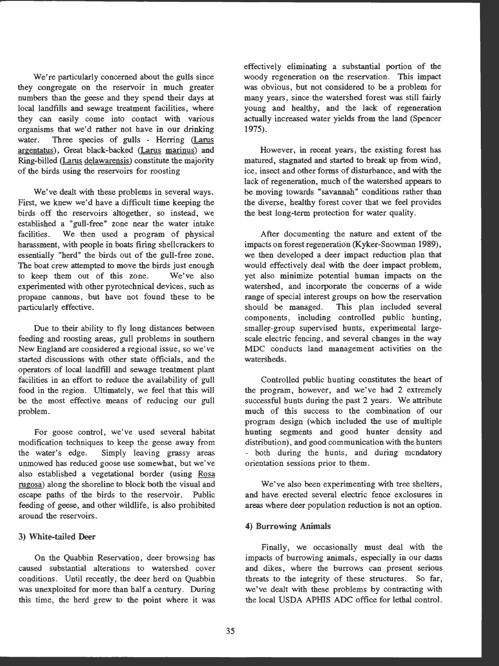We're particularly concerned about the gulls since they congregate on the reservoir in much greater numbers than the geese and they spend their days at local landfills and sewage treatment facilities, where they can easily come into contact with various organisms that we'd rather not have in our drinking<br>water. Three species of gulls - Herring (Larus water. Three species of gulls - Herring (Larus argentatus), Great black-backed (Larus marinus) and argentatus), Great black-backed (Larus marinus) and<br>Ring-billed (Larus delawarensis) constitute the majority of the birds using the reservoirs for roosting

We've dealt with these problems in several ways. First, we knew we'd have a difficult time keeping the birds off the reservoirs altogether, so instead, we established a "gull-free" zone near the water intake facilities. We then used a program of physical harassment, with people in boats firing shellcrackers to essentially "herd" the birds out of the gull-free zone. The boat crew attempted to move the birds just enough to keep them out of this zone. We've also experimented with other pyrotechnical devices, such as propane cannons, but have not found these to be particularly effective.

Due to their ability to fly long distances between feeding and roosting areas, gull problems in southern New England are considered a regional issue, so we've started discussions with other state officials, and the operators of local landfill and sewage treatment plant facilities in an effort to reduce the availability of gull food in the region. Ultimately, we feel that this will be the most effective means of reducing our gull problem.

For goose control, we've used several habitat modification techniques to keep the geese away from the water's edge. Simply leaving grassy areas unmowed has reduced goose use somewhat, but we've also established a vegetational border (using Rosa rugosa) along the shoreline to block both the visual and escape paths of the birds to the reservoir. Public feeding of geese, and other wildlife, is also prohibited around the reservoirs.

#### 3) White-tailed Deer

On the Quabbin Reservation, deer browsing has caused substantial alterations to watershed cover conditions. Until recently, the deer herd on Quabbin was unexploited for more than half a century. During this time, the herd grew to the point where it was

effectively eliminating a substantial portion of the woody regeneration on the reservation. This impact was obvious, but not considered to be a problem for many years, since the watershed forest was still fairly young and healthy, and the lack of regeneration actually increased water yields from the land (Spencer 1975).

However, in recent years, the existing forest has matured, stagnated and started to break up from wind, ice, insect and other forms of disturbance, and with the lack of regeneration, much of the watershed appears to be moving towards "savannah" conditions rather than the diverse, healthy forest cover that we feel provides the best long-term protection for water quality.

After documenting the nature and extent of the impacts on forest regeneration (Kyker-Snowman 1989), we then developed a deer impact reduction plan that would effectively deal with the deer impact problem, yet also minimize potential human impacts on the watershed, and incorporate the concerns of a wide range of special interest groups on how the reservation should be managed. This plan included several components, including controlled public hunting, smaller-group supervised hunts, experimental largescale electric fencing, and several changes in the way MDC conducts land management activities on the watersheds.

Controlled public hunting constitutes the heart of the program, however, and we've had 2 extremely successful hunts during the past 2 years. We attribute much of this success to the combination of our program design (which included the use of multiple hunting segments and good hunter density and distribution), and good communication with the hunters - both during the hunts, and during mcndatory orientation sessions prior to them.

We've also been experimenting with tree shelters, and have erected several electric fence exclosures in areas where deer population reduction is not an option.

### **4) Burrowing Animals**

Finally, we occasionally must deal with the impacts of burrowing animals, especially in our dams and dikes, where the burrows can present serious threats to the integrity of these structures. So far, we've dealt with these problems by contracting with the local USDA APHIS ADC office for lethal control.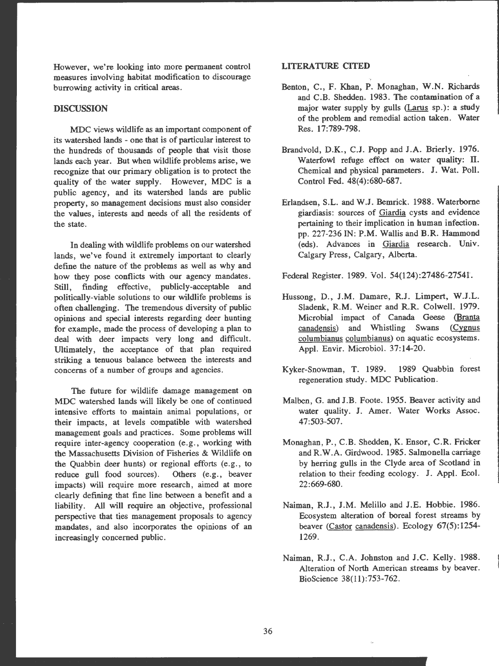However, we're looking into more permanent control measures involving habitat modification to discourage burrowing activity in critical areas.

#### **DISCUSSION**

MDC views wildlife as an important component of its watershed lands - one that is of particular interest to the hundreds of thousands of people that visit those lands each year. But when wildlife problems arise, we recognize that our primary obligation is to protect the quality of the water supply. However, MDC is a public agency, and its watershed lands are public property, so management decisions must also consider the values, interests and needs of all the residents of the state.

In dealing with wildlife problems on our watershed lands, we've found it extremely important to clearly define the nature of the problems as well as why and how they pose conflicts with our agency mandates. Still, finding effective, publicly-acceptable and politically-viable solutions to our wildlife problems is often challenging. The tremendous diversity of public opinions and special interests regarding deer hunting for example, made the process of developing a plan to deal with deer impacts very long and difficult. Ultimately, the acceptance of that plan required striking a tenuous balance between the interests and concerns of a number of groups and agencies.

The future for wildlife damage management on MDC watershed lands will likely be one of continued intensive efforts to maintain animal populations, or their impacts, at levels compatible with watershed management goals and practices. Some problems will require inter-agency cooperation (e.g., working with the Massachusetts Division of Fisheries & Wildlife on the Quabbin deer hunts) or regional efforts (e.g., to reduce gull food sources). Others (e.g., beaver impacts) will require more research, aimed at more clearly defining that fine line between a benefit and a liability. All will require an objective, professional perspective that ties management proposals to agency mandates, and also incorporates the opinions of an increasingly concerned public .

### **LITERATURE CITED**

- Benton, C., F. Khan, P. Monaghan, **W.N.** Richards and C.B. Shedden. 1983. The contamination of a major water supply by gulls (Larus sp.): a study of the problem and remedial action taken . Water Res. 17:789-798.
- Brandvold, D.K., C.J. Popp and J.A. Brierly. 1976. Waterfowl refuge effect on water quality: II. Chemical and physical parameters. J. Wat. Poll. Control Fed. 48(4):680-687.
- Erlandsen, S.L. and W.J. Bemrick. 1988. Waterborne <sup>g</sup>iardiasis: sources of Giardia cysts and evidence pertaining to their implication in human infection. pp. 227-236 **IN: P.M .** Wallis and B.R. Hammond (eds). Advances in Giardia research. Univ . Calgary Press, Calgary, Alberta.

Federal Register. 1989. Vol. 54(124):27486-27541.

- Hussong, D. , **J.M.** Damare, R.J. Limpert, **W.J.L.**  Sladenk, R.M. Weiner and R.R. Colwell. 1979. Microbial impact of Canada Geese (Branta canadensis) and Whistling **Swans** (Cygnus columbianus columbianus) on aquatic ecosystems . Appl. Envir. Microbiol. 37:14-20 .
- Kyker-Snowman, T. 1989. 1989 Quabbin forest regeneration study. MDC Publication .
- Malben, G. and J.B. Foote. 1955. Beaver activity and water quality. J. Amer. Water Works Assoc. 47:503 -507.
- Monaghan, P., C.B. Shedden, K. Ensor, C.R. Fricker and R.W.A. Girdwood. 1985. Salmonella carriage by herring gulls in the Clyde area of Scotland in relation to their feeding ecology. J. Appl. Ecol. 22:669-680.
- Naiman, R.J., J.M. Melillo and J.E. Hobbie. 1986. Ecosystem alteration of boreal forest streams by beaver (Castor canadensis). Ecology 67(5):1254-1269.
- Naiman, R.J., C.A. Johnston and J.C. Kelly. 1988. Alteration of North American streams by beaver. BioScience 38(11):753- 762.